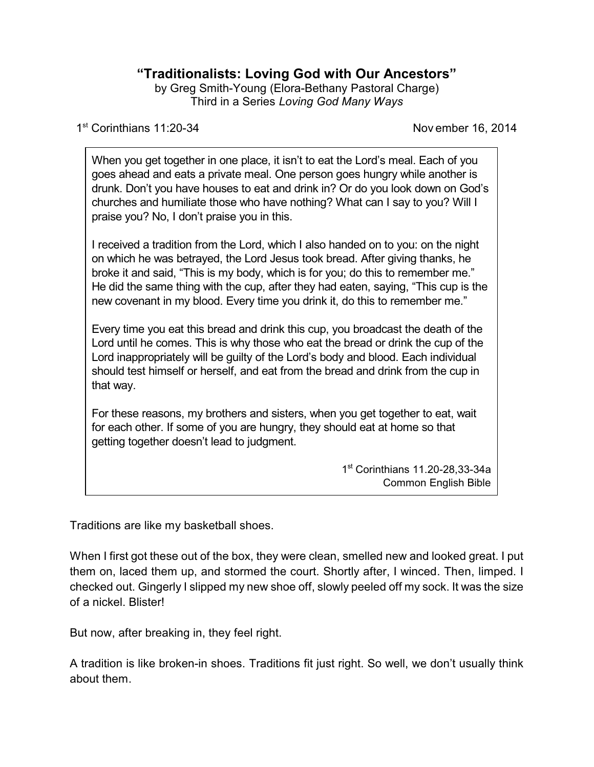## **"Traditionalists: Loving God with Our Ancestors"**

by Greg Smith-Young (Elora-Bethany Pastoral Charge) Third in a Series *Loving God Many Ways*

1 st

Nov ember 16, 2014

When you get together in one place, it isn't to eat the Lord's meal. Each of you goes ahead and eats a private meal. One person goes hungry while another is drunk. Don't you have houses to eat and drink in? Or do you look down on God's churches and humiliate those who have nothing? What can I say to you? Will I praise you? No, I don't praise you in this.

I received a tradition from the Lord, which I also handed on to you: on the night on which he was betrayed, the Lord Jesus took bread. After giving thanks, he broke it and said, "This is my body, which is for you; do this to remember me." He did the same thing with the cup, after they had eaten, saying, "This cup is the new covenant in my blood. Every time you drink it, do this to remember me."

Every time you eat this bread and drink this cup, you broadcast the death of the Lord until he comes. This is why those who eat the bread or drink the cup of the Lord inappropriately will be guilty of the Lord's body and blood. Each individual should test himself or herself, and eat from the bread and drink from the cup in that way.

For these reasons, my brothers and sisters, when you get together to eat, wait for each other. If some of you are hungry, they should eat at home so that getting together doesn't lead to judgment.

> 1 st Corinthians 11.20-28,33-34a Common English Bible

Traditions are like my basketball shoes.

When I first got these out of the box, they were clean, smelled new and looked great. I put them on, laced them up, and stormed the court. Shortly after, I winced. Then, limped. I checked out. Gingerly I slipped my new shoe off, slowly peeled off my sock. It was the size of a nickel. Blister!

But now, after breaking in, they feel right.

A tradition is like broken-in shoes. Traditions fit just right. So well, we don't usually think about them.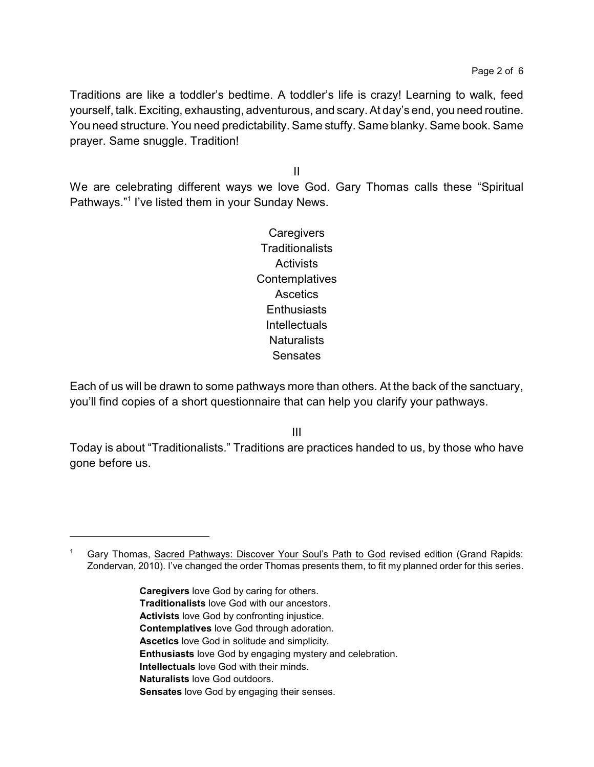Traditions are like a toddler's bedtime. A toddler's life is crazy! Learning to walk, feed yourself, talk. Exciting, exhausting, adventurous, and scary. At day's end, you need routine. You need structure. You need predictability. Same stuffy. Same blanky. Same book. Same prayer. Same snuggle. Tradition!

II

We are celebrating different ways we love God. Gary Thomas calls these "Spiritual Pathways."<sup>1</sup> I've listed them in your Sunday News.

> **Caregivers Traditionalists Activists Contemplatives** Ascetics **Enthusiasts Intellectuals Naturalists** Sensates

Each of us will be drawn to some pathways more than others. At the back of the sanctuary, you'll find copies of a short questionnaire that can help you clarify your pathways.

III

Today is about "Traditionalists." Traditions are practices handed to us, by those who have gone before us.

<sup>1</sup> Gary Thomas, Sacred Pathways: Discover Your Soul's Path to God revised edition (Grand Rapids: Zondervan, 2010). I've changed the order Thomas presents them, to fit my planned order for this series.

**Caregivers** love God by caring for others. **Traditionalists** love God with our ancestors. **Activists** love God by confronting injustice. **Contemplatives** love God through adoration. **Ascetics** love God in solitude and simplicity. **Enthusiasts** love God by engaging mystery and celebration. **Intellectuals** love God with their minds. **Naturalists** love God outdoors. **Sensates** love God by engaging their senses.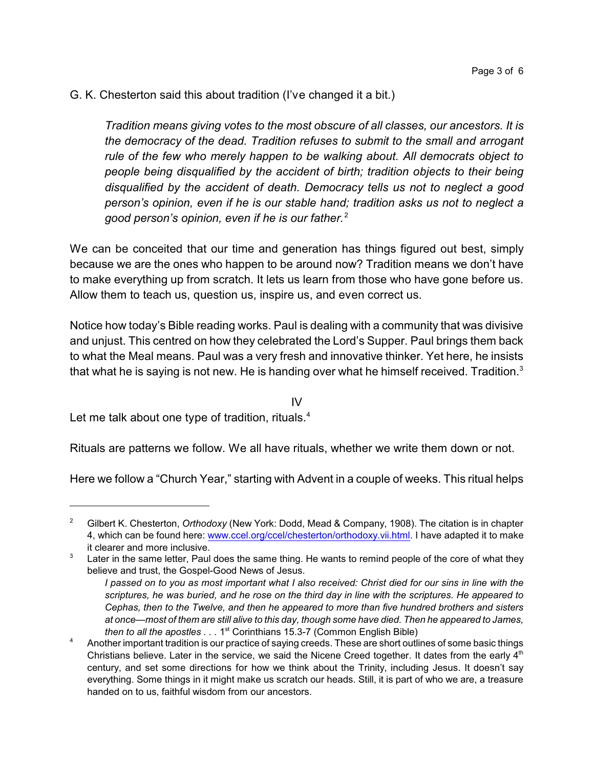## G. K. Chesterton said this about tradition (I've changed it a bit.)

*Tradition means giving votes to the most obscure of all classes, our ancestors. It is the democracy of the dead. Tradition refuses to submit to the small and arrogant rule of the few who merely happen to be walking about. All democrats object to people being disqualified by the accident of birth; tradition objects to their being disqualified by the accident of death. Democracy tells us not to neglect a good person's opinion, even if he is our stable hand; tradition asks us not to neglect a good person's opinion, even if he is our father.*<sup>2</sup>

We can be conceited that our time and generation has things figured out best, simply because we are the ones who happen to be around now? Tradition means we don't have to make everything up from scratch. It lets us learn from those who have gone before us. Allow them to teach us, question us, inspire us, and even correct us.

Notice how today's Bible reading works. Paul is dealing with a community that was divisive and unjust. This centred on how they celebrated the Lord's Supper. Paul brings them back to what the Meal means. Paul was a very fresh and innovative thinker. Yet here, he insists that what he is saying is not new. He is handing over what he himself received. Tradition. $3$ 

IV

Let me talk about one type of tradition, rituals.<sup>4</sup>

Rituals are patterns we follow. We all have rituals, whether we write them down or not.

Here we follow a "Church Year," starting with Advent in a couple of weeks. This ritual helps

<sup>2</sup> Gilbert K. Chesterton, *Orthodoxy* (New York: Dodd, Mead & Company, 1908). The citation is in chapter 4, which can be found here: [www.ccel.org/ccel/chesterton/orthodoxy.vii.html](http://www.ccel.org/ccel/chesterton/orthodoxy.vii.html). I have adapted it to make it clearer and more inclusive.

<sup>3</sup> Later in the same letter, Paul does the same thing. He wants to remind people of the core of what they believe and trust, the Gospel-Good News of Jesus.

*I passed on to you as most important what I also received: Christ died for our sins in line with the scriptures, he was buried, and he rose on the third day in line with the scriptures. He appeared to Cephas, then to the Twelve, and then he appeared to more than five hundred brothers and sisters at once—most of them are still alive to this day, though some have died. Then he appeared to James, then to all the apostles . . .* 1st Corinthians 15.3-7 (Common English Bible)

<sup>&</sup>lt;sup>4</sup> Another important tradition is our practice of saying creeds. These are short outlines of some basic things Christians believe. Later in the service, we said the Nicene Creed together. It dates from the early  $4<sup>th</sup>$ century, and set some directions for how we think about the Trinity, including Jesus. It doesn't say everything. Some things in it might make us scratch our heads. Still, it is part of who we are, a treasure handed on to us, faithful wisdom from our ancestors.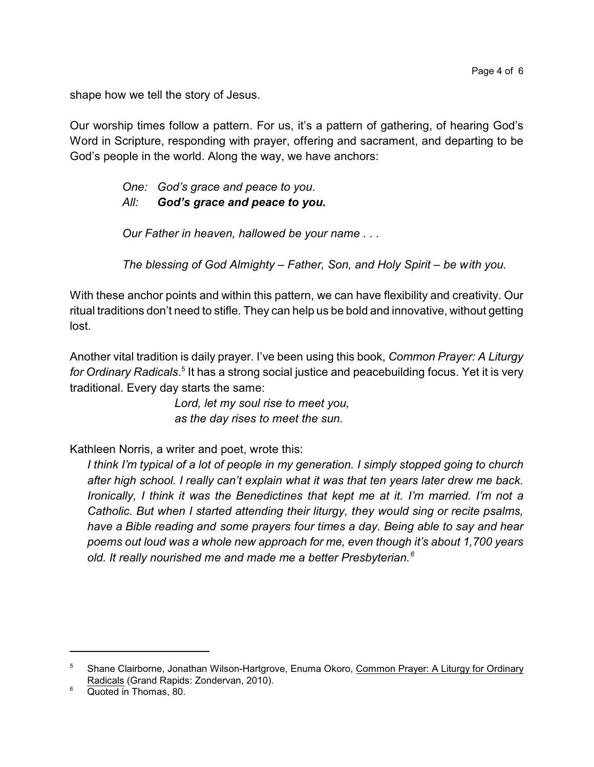shape how we tell the story of Jesus.

Our worship times follow a pattern. For us, it's a pattern of gathering, of hearing God's Word in Scripture, responding with prayer, offering and sacrament, and departing to be God's people in the world. Along the way, we have anchors:

> *One: God's grace and peace to you. All: God's grace and peace to you.*

*Our Father in heaven, hallowed be your name . . .*

*The blessing of God Almighty – Father, Son, and Holy Spirit – be with you.*

With these anchor points and within this pattern, we can have flexibility and creativity. Our ritual traditions don't need to stifle*.* They can help us be bold and innovative, without getting lost.

Another vital tradition is daily prayer. I've been using this book, *Common Prayer: A Liturgy for Ordinary Radicals.<sup>5</sup>* It has a strong social justice and peacebuilding focus. Yet it is very traditional. Every day starts the same:

> *Lord, let my soul rise to meet you, as the day rises to meet the sun.*

Kathleen Norris, a writer and poet, wrote this:

*I think I'm typical of a lot of people in my generation. I simply stopped going to church after high school. I really can't explain what it was that ten years later drew me back. Ironically, I think it was the Benedictines that kept me at it. I'm married. I'm not a Catholic. But when I started attending their liturgy, they would sing or recite psalms, have a Bible reading and some prayers four times a day. Being able to say and hear poems out loud was a whole new approach for me, even though it's about 1,700 years old. It really nourished me and made me a better Presbyterian.<sup>6</sup>*

<sup>&</sup>lt;sup>5</sup> Shane Clairborne, Jonathan Wilson-Hartgrove, Enuma Okoro, Common Prayer: A Liturgy for Ordinary Radicals (Grand Rapids: Zondervan, 2010).

<sup>6</sup> Quoted in Thomas, 80.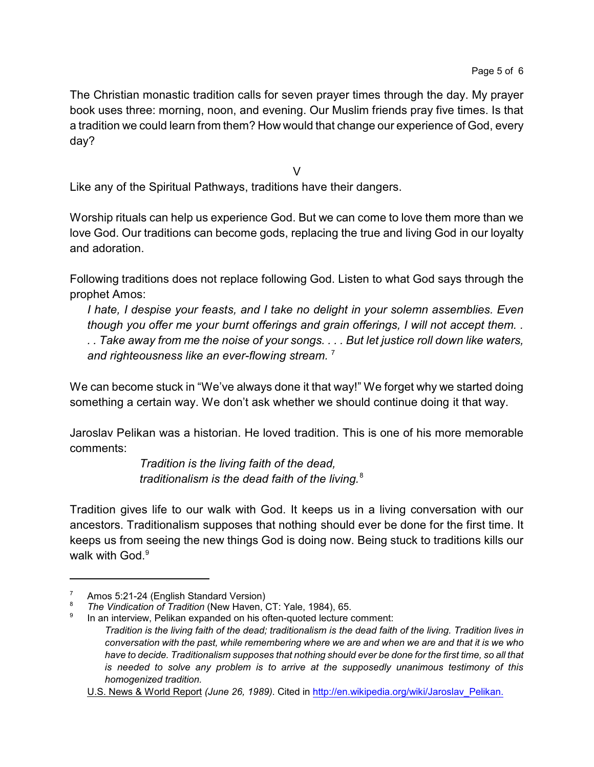The Christian monastic tradition calls for seven prayer times through the day. My prayer book uses three: morning, noon, and evening. Our Muslim friends pray five times. Is that a tradition we could learn from them? How would that change our experience of God, every day?

V

Like any of the Spiritual Pathways, traditions have their dangers.

Worship rituals can help us experience God. But we can come to love them more than we love God. Our traditions can become gods, replacing the true and living God in our loyalty and adoration.

Following traditions does not replace following God. Listen to what God says through the prophet Amos:

*I hate, I despise your feasts, and I take no delight in your solemn assemblies. Even though you offer me your burnt offerings and grain offerings, I will not accept them. . . . Take away from me the noise of your songs. . . . But let justice roll down like waters, and righteousness like an ever-flowing stream.* 7

We can become stuck in "We've always done it that way!" We forget why we started doing something a certain way. We don't ask whether we should continue doing it that way.

Jaroslav Pelikan was a historian. He loved tradition. This is one of his more memorable comments:

> *Tradition is the living faith of the dead, traditionalism is the dead faith of the living.*<sup>8</sup>

Tradition gives life to our walk with God. It keeps us in a living conversation with our ancestors. Traditionalism supposes that nothing should ever be done for the first time. It keeps us from seeing the new things God is doing now. Being stuck to traditions kills our walk with God.<sup>9</sup>

Amos 5:21-24 (English Standard Version)

<sup>8</sup> *The Vindication of Tradition* (New Haven, CT: Yale, 1984), 65. 9

In an interview, Pelikan expanded on his often-quoted lecture comment:

*Tradition is the living faith of the dead; traditionalism is the dead faith of the living. Tradition lives in conversation with the past, while remembering where we are and when we are and that it is we who have to decide. Traditionalism supposes that nothing should ever be done for the first time, so all that is needed to solve any problem is to arrive at the supposedly unanimous testimony of this homogenized tradition.*

U.S. News & World Report *(June 26, 1989)*. Cited in [http://en.wikipedia.org/wiki/Jaroslav\\_Pelikan.](http://en.wikipedia.org/wiki/Jaroslav_Pelikan)